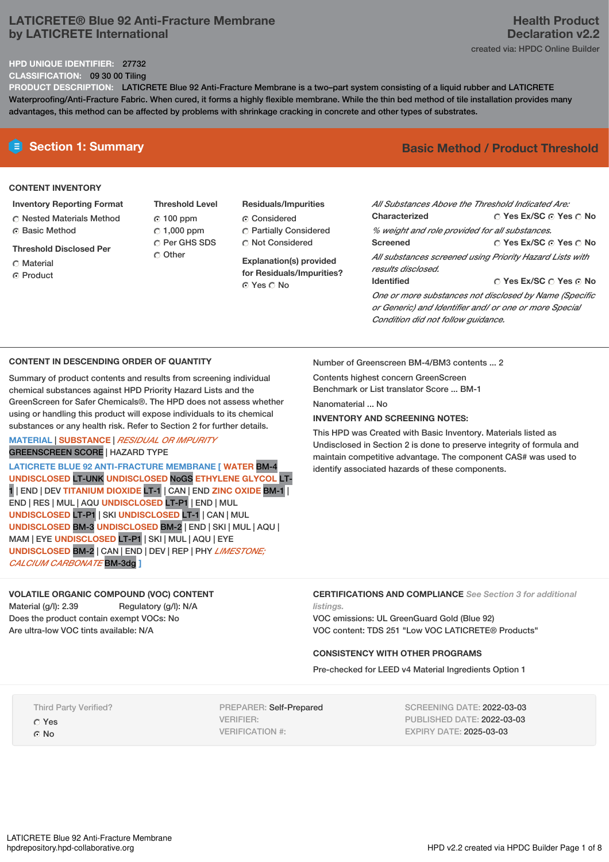# **LATICRETE® Blue 92 Anti-Fracture Membrane by LATICRETE International**

#### **HPD UNIQUE IDENTIFIER:** 27732

**CLASSIFICATION:** 09 30 00 Tiling

**PRODUCT DESCRIPTION:** LATICRETE Blue 92 Anti-Fracture Membrane is a two–part system consisting of a liquid rubber and LATICRETE Waterproofing/Anti-Fracture Fabric. When cured, it forms a highly flexible membrane. While the thin bed method of tile installation provides many advantages, this method can be affected by problems with shrinkage cracking in concrete and other types of substrates.

#### **CONTENT INVENTORY**

#### **Inventory Reporting Format**

- **C** Nested Materials Method Basic Method
- **Threshold Disclosed Per**
- Material
- ⊙ Product
- **Threshold Level** 100 ppm  $C$  1,000 ppm C Per GHS SDS C Other
- **Residuals/Impurities** Considered Partially Considered Not Considered

**Explanation(s) provided for Residuals/Impurities?** ⊙ Yes O No

# **E** Section 1: Summary **Basic** Method **/** Product Threshold

| All Substances Above the Threshold Indicated Are:        |                                          |  |  |  |
|----------------------------------------------------------|------------------------------------------|--|--|--|
| Characterized                                            | $\circ$ Yes Ex/SC $\circ$ Yes $\circ$ No |  |  |  |
| % weight and role provided for all substances.           |                                          |  |  |  |
| <b>Screened</b>                                          | ○ Yes Ex/SC ⊙ Yes ○ No                   |  |  |  |
| All substances screened using Priority Hazard Lists with |                                          |  |  |  |
| results disclosed.                                       |                                          |  |  |  |
| <b>Identified</b>                                        | ∩ Yes Ex/SC ∩ Yes ∩ No                   |  |  |  |
| One or more substances not disclosed by Name (Specific   |                                          |  |  |  |
| or Generic) and Identifier and/ or one or more Special   |                                          |  |  |  |

**CONTENT IN DESCENDING ORDER OF QUANTITY**

Summary of product contents and results from screening individual chemical substances against HPD Priority Hazard Lists and the GreenScreen for Safer Chemicals®. The HPD does not assess whether using or handling this product will expose individuals to its chemical substances or any health risk. Refer to Section 2 for further details.

#### **MATERIAL** | **SUBSTANCE** | *RESIDUAL OR IMPURITY* GREENSCREEN SCORE | HAZARD TYPE

**LATICRETE BLUE 92 ANTI-FRACTURE MEMBRANE [ WATER** BM-4 **UNDISCLOSED** LT-UNK **UNDISCLOSED** NoGS **ETHYLENE GLYCOL** LT-1 | END | DEV **TITANIUM DIOXIDE** LT-1 | CAN | END **ZINC OXIDE** BM-1 | END | RES | MUL | AQU **UNDISCLOSED** LT-P1 | END | MUL **UNDISCLOSED** LT-P1 | SKI **UNDISCLOSED** LT-1 | CAN | MUL **UNDISCLOSED** BM-3 **UNDISCLOSED** BM-2 | END | SKI | MUL | AQU | MAM |EYE **UNDISCLOSED** LT-P1 | SKI | MUL | AQU | EYE **UNDISCLOSED** BM-2 | CAN | END | DEV | REP | PHY *LIMESTONE; CALCIUM CARBONATE* BM-3dg **]**

## **VOLATILE ORGANIC COMPOUND (VOC) CONTENT**

Material (g/l): 2.39 Regulatory (g/l): N/A Does the product contain exempt VOCs: No Are ultra-low VOC tints available: N/A

Number of Greenscreen BM-4/BM3 contents ... 2

Contents highest concern GreenScreen Benchmark or List translator Score ... BM-1

Nanomaterial No.

### **INVENTORY AND SCREENING NOTES:**

This HPD was Created with Basic Inventory. Materials listed as Undisclosed in Section 2 is done to preserve integrity of formula and maintain competitive advantage. The component CAS# was used to identify associated hazards of these components.

*Condition did not follow guidance.*

#### **CERTIFICATIONS AND COMPLIANCE** *See Section 3 for additional listings.*

VOC emissions: UL GreenGuard Gold (Blue 92) VOC content: TDS 251 "Low VOC LATICRETE® Products"

### **CONSISTENCY WITH OTHER PROGRAMS**

Pre-checked for LEED v4 Material Ingredients Option 1

Third Party Verified? Yes

G No

PREPARER: Self-Prepared VERIFIER: VERIFICATION #:

SCREENING DATE: 2022-03-03 PUBLISHED DATE: 2022-03-03 EXPIRY DATE: 2025-03-03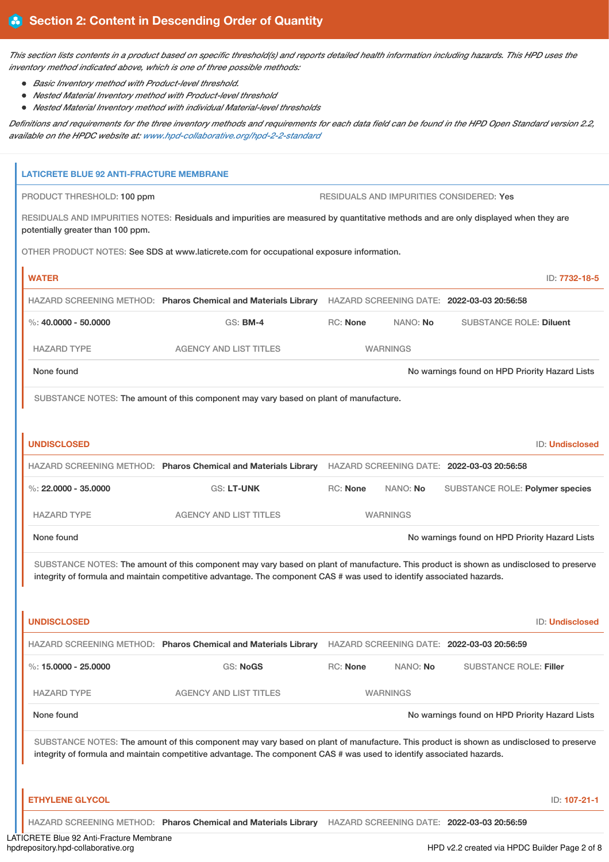This section lists contents in a product based on specific threshold(s) and reports detailed health information including hazards. This HPD uses the *inventory method indicated above, which is one of three possible methods:*

*Basic Inventory method with Product-level threshold.*

i.

- *Nested Material Inventory method with Product-level threshold*
- *Nested Material Inventory method with individual Material-level thresholds*

Definitions and requirements for the three inventory methods and requirements for each data field can be found in the HPD Open Standard version 2.2, *available on the HPDC website at: [www.hpd-collaborative.org/hpd-2-2-standard](https://www.hpd-collaborative.org/hpd-2-2-standard)*

| <b>LATICRETE BLUE 92 ANTI-FRACTURE MEMBRANE</b> |                                                                                                                                                                                                                                                                 |                 |                 |                                                |                        |
|-------------------------------------------------|-----------------------------------------------------------------------------------------------------------------------------------------------------------------------------------------------------------------------------------------------------------------|-----------------|-----------------|------------------------------------------------|------------------------|
| PRODUCT THRESHOLD: 100 ppm                      |                                                                                                                                                                                                                                                                 |                 |                 | RESIDUALS AND IMPURITIES CONSIDERED: Yes       |                        |
| potentially greater than 100 ppm.               | RESIDUALS AND IMPURITIES NOTES: Residuals and impurities are measured by quantitative methods and are only displayed when they are                                                                                                                              |                 |                 |                                                |                        |
|                                                 | OTHER PRODUCT NOTES: See SDS at www.laticrete.com for occupational exposure information.                                                                                                                                                                        |                 |                 |                                                |                        |
| <b>WATER</b>                                    |                                                                                                                                                                                                                                                                 |                 |                 |                                                | ID: 7732-18-5          |
|                                                 | HAZARD SCREENING METHOD: Pharos Chemical and Materials Library HAZARD SCREENING DATE: 2022-03-03 20:56:58                                                                                                                                                       |                 |                 |                                                |                        |
| %: $40,0000 - 50,0000$                          | <b>GS: BM-4</b>                                                                                                                                                                                                                                                 | RC: None        | NANO: No        | <b>SUBSTANCE ROLE: Diluent</b>                 |                        |
| <b>HAZARD TYPE</b>                              | <b>AGENCY AND LIST TITLES</b>                                                                                                                                                                                                                                   |                 | <b>WARNINGS</b> |                                                |                        |
| None found                                      |                                                                                                                                                                                                                                                                 |                 |                 | No warnings found on HPD Priority Hazard Lists |                        |
|                                                 | SUBSTANCE NOTES: The amount of this component may vary based on plant of manufacture.                                                                                                                                                                           |                 |                 |                                                |                        |
|                                                 |                                                                                                                                                                                                                                                                 |                 |                 |                                                |                        |
| <b>UNDISCLOSED</b>                              |                                                                                                                                                                                                                                                                 |                 |                 |                                                | <b>ID: Undisclosed</b> |
|                                                 | HAZARD SCREENING METHOD: Pharos Chemical and Materials Library HAZARD SCREENING DATE: 2022-03-03 20:56:58                                                                                                                                                       |                 |                 |                                                |                        |
| %: $22,0000 - 35,0000$                          | <b>GS: LT-UNK</b>                                                                                                                                                                                                                                               | <b>RC: None</b> | NANO: No        | SUBSTANCE ROLE: Polymer species                |                        |
|                                                 |                                                                                                                                                                                                                                                                 |                 |                 |                                                |                        |
| <b>HAZARD TYPE</b>                              | <b>AGENCY AND LIST TITLES</b>                                                                                                                                                                                                                                   |                 | <b>WARNINGS</b> |                                                |                        |
| None found                                      |                                                                                                                                                                                                                                                                 |                 |                 | No warnings found on HPD Priority Hazard Lists |                        |
|                                                 | SUBSTANCE NOTES: The amount of this component may vary based on plant of manufacture. This product is shown as undisclosed to preserve<br>integrity of formula and maintain competitive advantage. The component CAS # was used to identify associated hazards. |                 |                 |                                                |                        |
|                                                 |                                                                                                                                                                                                                                                                 |                 |                 |                                                |                        |
| <b>UNDISCLOSED</b>                              |                                                                                                                                                                                                                                                                 |                 |                 |                                                | <b>ID: Undisclosed</b> |
|                                                 | HAZARD SCREENING METHOD: Pharos Chemical and Materials Library                                                                                                                                                                                                  |                 |                 | HAZARD SCREENING DATE: 2022-03-03 20:56:59     |                        |
| %: $15.0000 - 25.0000$                          | <b>GS: NoGS</b>                                                                                                                                                                                                                                                 | <b>RC: None</b> | NANO: No        | <b>SUBSTANCE ROLE: Filler</b>                  |                        |
| <b>HAZARD TYPE</b>                              | <b>AGENCY AND LIST TITLES</b>                                                                                                                                                                                                                                   |                 | <b>WARNINGS</b> |                                                |                        |
| None found                                      |                                                                                                                                                                                                                                                                 |                 |                 | No warnings found on HPD Priority Hazard Lists |                        |
|                                                 | SUBSTANCE NOTES: The amount of this component may vary based on plant of manufacture. This product is shown as undisclosed to preserve<br>integrity of formula and maintain competitive advantage. The component CAS # was used to identify associated hazards. |                 |                 |                                                |                        |
| <b>ETHYLENE GLYCOL</b>                          |                                                                                                                                                                                                                                                                 |                 |                 |                                                | ID: 107-21-1           |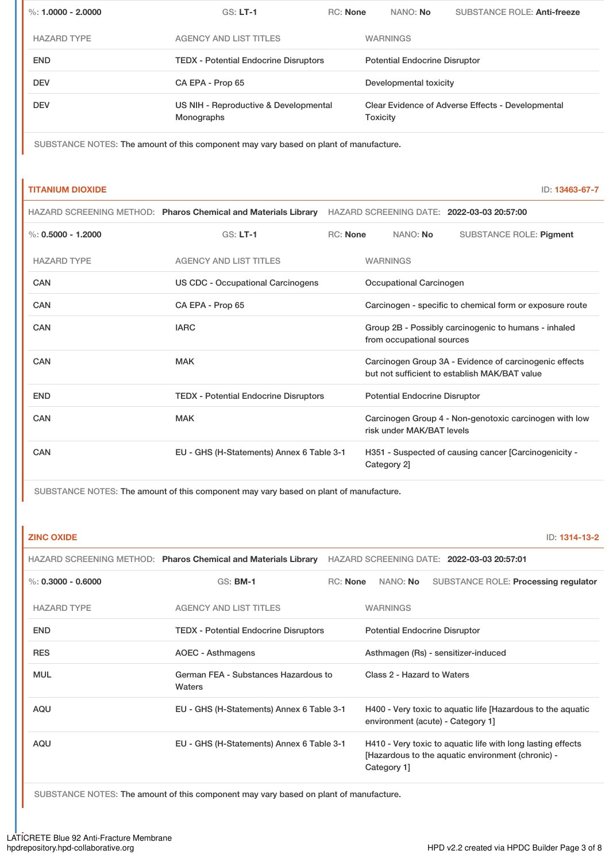| %: $1.0000 - 2.0000$ | $GS: LT-1$                                                 | <b>RC: None</b> |                        | NANO: No                             | <b>SUBSTANCE ROLE: Anti-freeze</b>                |  |
|----------------------|------------------------------------------------------------|-----------------|------------------------|--------------------------------------|---------------------------------------------------|--|
| <b>HAZARD TYPE</b>   | <b>AGENCY AND LIST TITLES</b>                              |                 | <b>WARNINGS</b>        |                                      |                                                   |  |
| <b>END</b>           | <b>TEDX - Potential Endocrine Disruptors</b>               |                 |                        | <b>Potential Endocrine Disruptor</b> |                                                   |  |
| <b>DEV</b>           | CA EPA - Prop 65                                           |                 | Developmental toxicity |                                      |                                                   |  |
| <b>DEV</b>           | US NIH - Reproductive & Developmental<br><b>Monographs</b> |                 | Toxicity               |                                      | Clear Evidence of Adverse Effects - Developmental |  |

SUBSTANCE NOTES: The amount of this component may vary based on plant of manufacture.

### **TITANIUM DIOXIDE** ID: **13463-67-7**

|                      | HAZARD SCREENING METHOD: Pharos Chemical and Materials Library |                 |                         | HAZARD SCREENING DATE: 2022-03-03 20:57:00               |  |
|----------------------|----------------------------------------------------------------|-----------------|-------------------------|----------------------------------------------------------|--|
| %: $0.5000 - 1.2000$ | $GS: LT-1$                                                     | <b>RC: None</b> | NANO: No                | <b>SUBSTANCE ROLE: Pigment</b>                           |  |
| <b>HAZARD TYPE</b>   | <b>AGENCY AND LIST TITLES</b>                                  |                 | <b>WARNINGS</b>         |                                                          |  |
| CAN                  | US CDC - Occupational Carcinogens                              |                 | Occupational Carcinogen |                                                          |  |
| <b>CAN</b>           | CA EPA - Prop 65                                               |                 |                         | Carcinogen - specific to chemical form or exposure route |  |
| <b>CAN</b>           | <b>IARC</b>                                                    |                 |                         | Group 2B - Possibly carcinogenic to humans - inhaled     |  |

|            | .                                            | Gives LD : cooler, carolitogorile to hemane impared<br>from occupational sources                        |
|------------|----------------------------------------------|---------------------------------------------------------------------------------------------------------|
| CAN        | <b>MAK</b>                                   | Carcinogen Group 3A - Evidence of carcinogenic effects<br>but not sufficient to establish MAK/BAT value |
| <b>END</b> | <b>TEDX - Potential Endocrine Disruptors</b> | <b>Potential Endocrine Disruptor</b>                                                                    |
| CAN        | <b>MAK</b>                                   | Carcinogen Group 4 - Non-genotoxic carcinogen with low<br>risk under MAK/BAT levels                     |
| CAN        | EU - GHS (H-Statements) Annex 6 Table 3-1    | H351 - Suspected of causing cancer [Carcinogenicity -<br>Category 2]                                    |

SUBSTANCE NOTES: The amount of this component may vary based on plant of manufacture.

#### **ZINC OXIDE** ID: **1314-13-2**

|                      | HAZARD SCREENING METHOD: Pharos Chemical and Materials Library | HAZARD SCREENING DATE: 2022-03-03 20:57:01 |                                      |                                                                                                                  |  |  |
|----------------------|----------------------------------------------------------------|--------------------------------------------|--------------------------------------|------------------------------------------------------------------------------------------------------------------|--|--|
| %: $0.3000 - 0.6000$ | <b>GS: BM-1</b>                                                | RC: None                                   | NANO: No                             | SUBSTANCE ROLE: Processing regulator                                                                             |  |  |
| <b>HAZARD TYPE</b>   | <b>AGENCY AND LIST TITLES</b>                                  |                                            | <b>WARNINGS</b>                      |                                                                                                                  |  |  |
| <b>END</b>           | <b>TEDX - Potential Endocrine Disruptors</b>                   |                                            | <b>Potential Endocrine Disruptor</b> |                                                                                                                  |  |  |
| <b>RES</b>           | AOEC - Asthmagens                                              |                                            | Asthmagen (Rs) - sensitizer-induced  |                                                                                                                  |  |  |
| <b>MUL</b>           | German FEA - Substances Hazardous to<br>Waters                 |                                            | Class 2 - Hazard to Waters           |                                                                                                                  |  |  |
| AQU                  | EU - GHS (H-Statements) Annex 6 Table 3-1                      |                                            |                                      | H400 - Very toxic to aquatic life [Hazardous to the aquatic<br>environment (acute) - Category 1]                 |  |  |
| <b>AQU</b>           | EU - GHS (H-Statements) Annex 6 Table 3-1                      |                                            | Category 1                           | H410 - Very toxic to aquatic life with long lasting effects<br>[Hazardous to the aquatic environment (chronic) - |  |  |

SUBSTANCE NOTES: The amount of this component may vary based on plant of manufacture.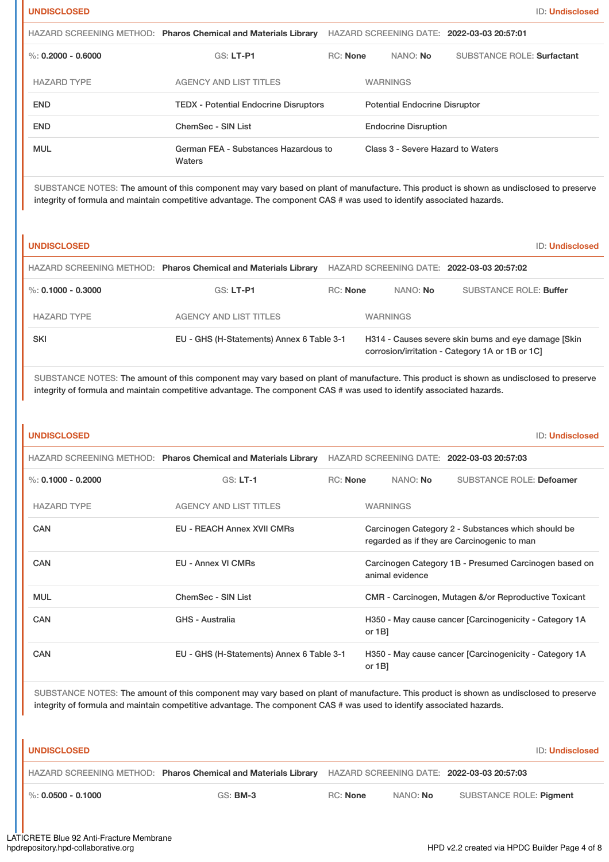|                      | HAZARD SCREENING METHOD: Pharos Chemical and Materials Library |                 |                                      | HAZARD SCREENING DATE: 2022-03-03 20:57:01 |  |
|----------------------|----------------------------------------------------------------|-----------------|--------------------------------------|--------------------------------------------|--|
| %: $0.2000 - 0.6000$ | $GS: LT-PI$                                                    | <b>RC: None</b> | NANO: No                             | <b>SUBSTANCE ROLE: Surfactant</b>          |  |
| <b>HAZARD TYPE</b>   | <b>AGENCY AND LIST TITLES</b>                                  |                 | <b>WARNINGS</b>                      |                                            |  |
| <b>END</b>           | <b>TEDX - Potential Endocrine Disruptors</b>                   |                 | <b>Potential Endocrine Disruptor</b> |                                            |  |
| <b>END</b>           | ChemSec - SIN List                                             |                 | <b>Endocrine Disruption</b>          |                                            |  |
| <b>MUL</b>           | German FEA - Substances Hazardous to<br>Waters                 |                 | Class 3 - Severe Hazard to Waters    |                                            |  |

SUBSTANCE NOTES: The amount of this component may vary based on plant of manufacture. This product is shown as undisclosed to preserve integrity of formula and maintain competitive advantage. The component CAS # was used to identify associated hazards.

| <b>UNDISCLOSED</b>   |                                                                |                 |                 |                                                                                                         | <b>ID: Undisclosed</b> |
|----------------------|----------------------------------------------------------------|-----------------|-----------------|---------------------------------------------------------------------------------------------------------|------------------------|
|                      | HAZARD SCREENING METHOD: Pharos Chemical and Materials Library |                 |                 | HAZARD SCREENING DATE: 2022-03-03 20:57:02                                                              |                        |
| %: $0.1000 - 0.3000$ | $GS: LT-PI$                                                    | <b>RC: None</b> | NANO: No        | <b>SUBSTANCE ROLE: Buffer</b>                                                                           |                        |
| <b>HAZARD TYPE</b>   | <b>AGENCY AND LIST TITLES</b>                                  |                 | <b>WARNINGS</b> |                                                                                                         |                        |
| <b>SKI</b>           | EU - GHS (H-Statements) Annex 6 Table 3-1                      |                 |                 | H314 - Causes severe skin burns and eye damage [Skin]<br>corrosion/irritation - Category 1A or 1B or 1C |                        |

SUBSTANCE NOTES: The amount of this component may vary based on plant of manufacture. This product is shown as undisclosed to preserve integrity of formula and maintain competitive advantage. The component CAS # was used to identify associated hazards.

| <b>UNDISCLOSED</b>     |                                                                                                                                                                                                                                                                 |                 |                 | <b>ID: Undisclosed</b>                                                                            |
|------------------------|-----------------------------------------------------------------------------------------------------------------------------------------------------------------------------------------------------------------------------------------------------------------|-----------------|-----------------|---------------------------------------------------------------------------------------------------|
|                        | HAZARD SCREENING METHOD: Pharos Chemical and Materials Library                                                                                                                                                                                                  |                 |                 | HAZARD SCREENING DATE: 2022-03-03 20:57:03                                                        |
| %: $0.1000 - 0.2000$   | $GS: LT-1$                                                                                                                                                                                                                                                      | RC: None        | NANO: No        | <b>SUBSTANCE ROLE: Defoamer</b>                                                                   |
| <b>HAZARD TYPE</b>     | <b>AGENCY AND LIST TITLES</b>                                                                                                                                                                                                                                   |                 | <b>WARNINGS</b> |                                                                                                   |
| CAN                    | <b>EU - REACH Annex XVII CMRs</b>                                                                                                                                                                                                                               |                 |                 | Carcinogen Category 2 - Substances which should be<br>regarded as if they are Carcinogenic to man |
| CAN                    | <b>EU - Annex VI CMRs</b>                                                                                                                                                                                                                                       |                 | animal evidence | Carcinogen Category 1B - Presumed Carcinogen based on                                             |
| <b>MUL</b>             | <b>ChemSec - SIN List</b>                                                                                                                                                                                                                                       |                 |                 | CMR - Carcinogen, Mutagen &/or Reproductive Toxicant                                              |
| CAN                    | GHS - Australia                                                                                                                                                                                                                                                 |                 | or $1B$ ]       | H350 - May cause cancer [Carcinogenicity - Category 1A                                            |
| CAN                    | EU - GHS (H-Statements) Annex 6 Table 3-1                                                                                                                                                                                                                       |                 | or $1B$ ]       | H350 - May cause cancer [Carcinogenicity - Category 1A                                            |
|                        | SUBSTANCE NOTES: The amount of this component may vary based on plant of manufacture. This product is shown as undisclosed to preserve<br>integrity of formula and maintain competitive advantage. The component CAS # was used to identify associated hazards. |                 |                 |                                                                                                   |
| <b>UNDISCLOSED</b>     |                                                                                                                                                                                                                                                                 |                 |                 | <b>ID: Undisclosed</b>                                                                            |
|                        | HAZARD SCREENING METHOD: Pharos Chemical and Materials Library                                                                                                                                                                                                  |                 |                 | HAZARD SCREENING DATE: 2022-03-03 20:57:03                                                        |
| $\%$ : 0.0500 - 0.1000 | <b>GS: BM-3</b>                                                                                                                                                                                                                                                 | <b>RC: None</b> | NANO: No        | <b>SUBSTANCE ROLE: Pigment</b>                                                                    |
|                        |                                                                                                                                                                                                                                                                 |                 |                 |                                                                                                   |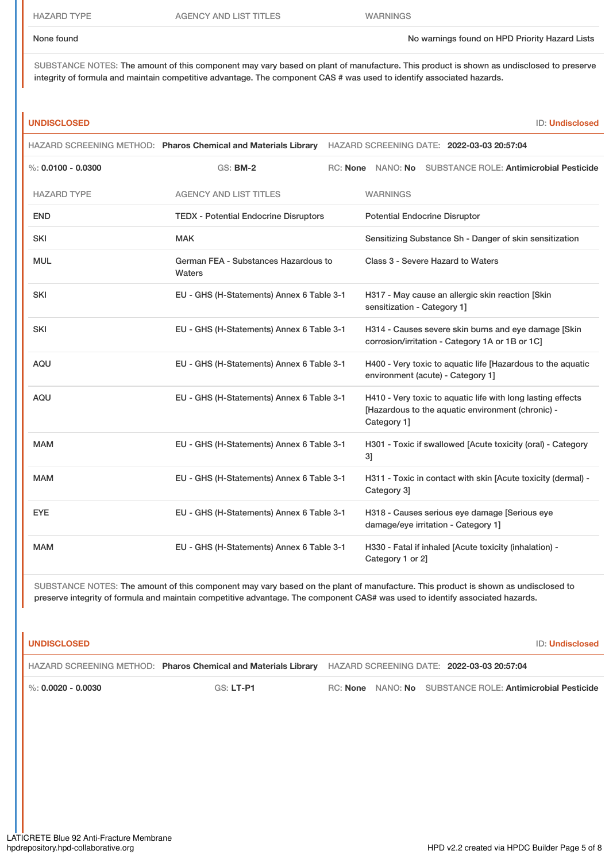HAZARD TYPE AGENCY AND LIST TITLES WARNINGS

None found No warnings found on HPD Priority Hazard Lists

SUBSTANCE NOTES: The amount of this component may vary based on plant of manufacture. This product is shown as undisclosed to preserve integrity of formula and maintain competitive advantage. The component CAS # was used to identify associated hazards.

### **UNDISCLOSED** ID: **Undisclosed**

|                        |                                                | HAZARD SCREENING METHOD: Pharos Chemical and Materials Library HAZARD SCREENING DATE: 2022-03-03 20:57:04                       |
|------------------------|------------------------------------------------|---------------------------------------------------------------------------------------------------------------------------------|
| $\%$ : 0.0100 - 0.0300 | <b>GS: BM-2</b>                                | RC: None NANO: No<br><b>SUBSTANCE ROLE: Antimicrobial Pesticide</b>                                                             |
| <b>HAZARD TYPE</b>     | <b>AGENCY AND LIST TITLES</b>                  | <b>WARNINGS</b>                                                                                                                 |
| <b>END</b>             | <b>TEDX - Potential Endocrine Disruptors</b>   | <b>Potential Endocrine Disruptor</b>                                                                                            |
| <b>SKI</b>             | <b>MAK</b>                                     | Sensitizing Substance Sh - Danger of skin sensitization                                                                         |
| <b>MUL</b>             | German FEA - Substances Hazardous to<br>Waters | Class 3 - Severe Hazard to Waters                                                                                               |
| <b>SKI</b>             | EU - GHS (H-Statements) Annex 6 Table 3-1      | H317 - May cause an allergic skin reaction [Skin<br>sensitization - Category 1]                                                 |
| <b>SKI</b>             | EU - GHS (H-Statements) Annex 6 Table 3-1      | H314 - Causes severe skin burns and eye damage [Skin<br>corrosion/irritation - Category 1A or 1B or 1C]                         |
| <b>AQU</b>             | EU - GHS (H-Statements) Annex 6 Table 3-1      | H400 - Very toxic to aquatic life [Hazardous to the aquatic<br>environment (acute) - Category 1]                                |
| AQU                    | EU - GHS (H-Statements) Annex 6 Table 3-1      | H410 - Very toxic to aquatic life with long lasting effects<br>[Hazardous to the aquatic environment (chronic) -<br>Category 1] |
| <b>MAM</b>             | EU - GHS (H-Statements) Annex 6 Table 3-1      | H301 - Toxic if swallowed [Acute toxicity (oral) - Category<br>31                                                               |
| <b>MAM</b>             | EU - GHS (H-Statements) Annex 6 Table 3-1      | H311 - Toxic in contact with skin [Acute toxicity (dermal) -<br>Category 3]                                                     |
| <b>EYE</b>             | EU - GHS (H-Statements) Annex 6 Table 3-1      | H318 - Causes serious eye damage [Serious eye<br>damage/eye irritation - Category 1]                                            |
| <b>MAM</b>             | EU - GHS (H-Statements) Annex 6 Table 3-1      | H330 - Fatal if inhaled [Acute toxicity (inhalation) -<br>Category 1 or 2]                                                      |

SUBSTANCE NOTES: The amount of this component may vary based on the plant of manufacture. This product is shown as undisclosed to preserve integrity of formula and maintain competitive advantage. The component CAS# was used to identify associated hazards.

| <b>UNDISCLOSED</b>     |                                                                                                           |  |                                                           | <b>ID: Undisclosed</b> |
|------------------------|-----------------------------------------------------------------------------------------------------------|--|-----------------------------------------------------------|------------------------|
|                        | HAZARD SCREENING METHOD: Pharos Chemical and Materials Library HAZARD SCREENING DATE: 2022-03-03 20:57:04 |  |                                                           |                        |
| $\%$ : 0.0020 - 0.0030 | $GS: LT- P1$                                                                                              |  | RC: None NANO: No SUBSTANCE ROLE: Antimicrobial Pesticide |                        |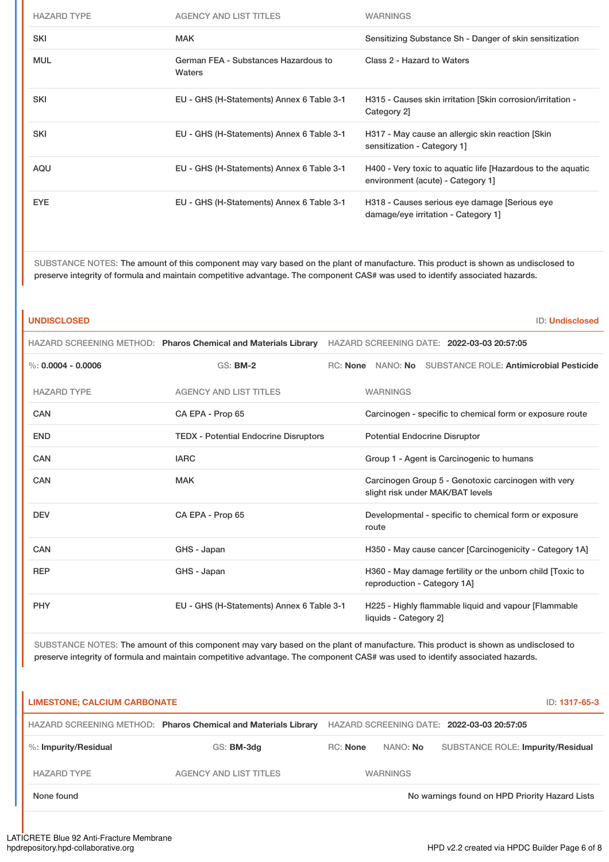| <b>HAZARD TYPE</b> | <b>AGENCY AND LIST TITLES</b>                  | <b>WARNINGS</b>                                                                                  |
|--------------------|------------------------------------------------|--------------------------------------------------------------------------------------------------|
| <b>SKI</b>         | <b>MAK</b>                                     | Sensitizing Substance Sh - Danger of skin sensitization                                          |
| <b>MUL</b>         | German FEA - Substances Hazardous to<br>Waters | Class 2 - Hazard to Waters                                                                       |
| <b>SKI</b>         | EU - GHS (H-Statements) Annex 6 Table 3-1      | H315 - Causes skin irritation [Skin corrosion/irritation -<br>Category 2]                        |
| <b>SKI</b>         | EU - GHS (H-Statements) Annex 6 Table 3-1      | H317 - May cause an allergic skin reaction [Skin]<br>sensitization - Category 1]                 |
| <b>AQU</b>         | EU - GHS (H-Statements) Annex 6 Table 3-1      | H400 - Very toxic to aquatic life [Hazardous to the aquatic<br>environment (acute) - Category 1] |
| <b>EYE</b>         | EU - GHS (H-Statements) Annex 6 Table 3-1      | H318 - Causes serious eye damage [Serious eye<br>damage/eye irritation - Category 1]             |

SUBSTANCE NOTES: The amount of this component may vary based on the plant of manufacture. This product is shown as undisclosed to preserve integrity of formula and maintain competitive advantage. The component CAS# was used to identify associated hazards.

# **UNDISCLOSED** ID: **Undisclosed** HAZARD SCREENING METHOD: **Pharos Chemical and Materials Library** HAZARD SCREENING DATE: **2022-03-03 20:57:05** %: **0.0004 - 0.0006** GS: **BM-2** RC: **None** NANO: **No** SUBSTANCE ROLE: **Antimicrobial Pesticide** HAZARD TYPE AGENCY AND LIST TITLES WARNINGS CAN CA EPA - Prop 65 Carcinogen - specific to chemical form or exposure route END TEDX - Potential Endocrine Disruptors Potential Endocrine Disruptor CAN **IARC** IARC **IARC IARC CAN CRO CAN CRO CAN CRO CAN CRO CRO CRO CRO CRO CRO CRO CRO CRO CRO CRO CRO CRO CRO CRO CRO CRO CRO CRO CRO CRO CRO CRO CRO CRO** CAN CAN MAK MAC CAN Carcinogen Group 5 - Genotoxic carcinogen with very slight risk under MAK/BAT levels DEV CA EPA - Prop 65 Developmental - specific to chemical form or exposure route CAN GHS - Japan GHS - Japan H350 - May cause cancer [Carcinogenicity - Category 1A] REP GHS - Japan GHS - Japan H360 - May damage fertility or the unborn child [Toxic to reproduction - Category 1A] PHY EU - GHS (H-Statements) Annex 6 Table 3-1 H225 - Highly flammable liquid and vapour [Flammable liquids - Category 2]

SUBSTANCE NOTES: The amount of this component may vary based on the plant of manufacture. This product is shown as undisclosed to preserve integrity of formula and maintain competitive advantage. The component CAS# was used to identify associated hazards.

# **LIMESTONE; CALCIUM CARBONATE** ID: **1317-65-3**

HAZARD SCREENING METHOD: **Pharos Chemical and Materials Library** HAZARD SCREENING DATE: **2022-03-03 20:57:05** %: **Impurity/Residual** GS: **BM-3dg** RC: **None** NANO: **No** SUBSTANCE ROLE: **Impurity/Residual** HAZARD TYPE THE AGENCY AND LIST TITLES THE WARNINGS None found Now arrings found on HPD Priority Hazard Lists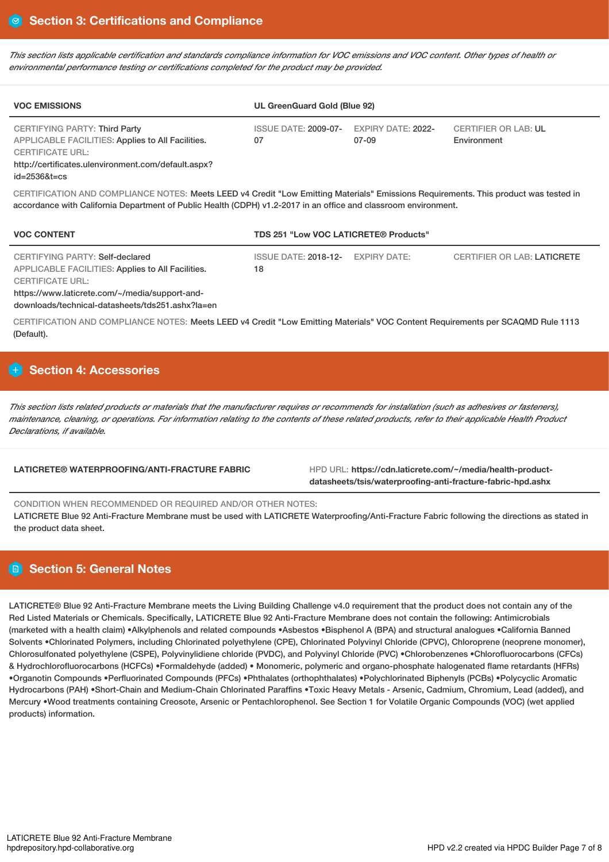This section lists applicable certification and standards compliance information for VOC emissions and VOC content. Other types of health or *environmental performance testing or certifications completed for the product may be provided.*

| <b>VOC EMISSIONS</b>                                                                                                                                                                              | UL GreenGuard Gold (Blue 92) |                                    |                                            |
|---------------------------------------------------------------------------------------------------------------------------------------------------------------------------------------------------|------------------------------|------------------------------------|--------------------------------------------|
| <b>CERTIFYING PARTY: Third Party</b><br>APPLICABLE FACILITIES: Applies to All Facilities.<br><b>CERTIFICATE URL:</b><br>http://certificates.ulenvironment.com/default.aspx?<br>$id = 25368t = cs$ | ISSUE DATE: 2009-07-<br>07   | <b>EXPIRY DATE: 2022-</b><br>07-09 | <b>CERTIFIER OR LAB: UL</b><br>Environment |

CERTIFICATION AND COMPLIANCE NOTES: Meets LEED v4 Credit "Low Emitting Materials" Emissions Requirements. This product was tested in accordance with California Department of Public Health (CDPH) v1.2-2017 in an office and classroom environment.

| <b>VOC CONTENT</b>                                                                                                                                                                                             | <b>TDS 251 "Low VOC LATICRETE® Products"</b> |              |                                    |
|----------------------------------------------------------------------------------------------------------------------------------------------------------------------------------------------------------------|----------------------------------------------|--------------|------------------------------------|
| CERTIFYING PARTY: Self-declared<br>APPLICABLE FACILITIES: Applies to All Facilities.<br>CERTIFICATE URL:<br>https://www.laticrete.com/~/media/support-and-<br>downloads/technical-datasheets/tds251.ashx?la=en | ISSUE DATE: 2018-12-<br>18                   | EXPIRY DATE: | <b>CERTIFIER OR LAB: LATICRETE</b> |

CERTIFICATION AND COMPLIANCE NOTES: Meets LEED v4 Credit "Low Emitting Materials" VOC Content Requirements per SCAQMD Rule 1113 (Default).

# **Section 4: Accessories**

This section lists related products or materials that the manufacturer requires or recommends for installation (such as adhesives or fasteners), maintenance, cleaning, or operations. For information relating to the contents of these related products, refer to their applicable Health Product *Declarations, if available.*

**LATICRETE® WATERPROOFING/ANTI-FRACTURE FABRIC** HPD URL: **https://cdn.laticrete.com/~/media/health-productdatasheets/tsis/waterproofing-anti-fracture-fabric-hpd.ashx**

CONDITION WHEN RECOMMENDED OR REQUIRED AND/OR OTHER NOTES:

LATICRETE Blue 92 Anti-Fracture Membrane must be used with LATICRETE Waterproofing/Anti-Fracture Fabric following the directions as stated in the product data sheet.

# **Section 5: General Notes**

LATICRETE® Blue 92 Anti-Fracture Membrane meets the Living Building Challenge v4.0 requirement that the product does not contain any of the Red Listed Materials or Chemicals. Specifically, LATICRETE Blue 92 Anti-Fracture Membrane does not contain the following: Antimicrobials (marketed with a health claim) •Alkylphenols and related compounds •Asbestos •Bisphenol A (BPA) and structural analogues •California Banned Solvents •Chlorinated Polymers, including Chlorinated polyethylene (CPE), Chlorinated Polyvinyl Chloride (CPVC), Chloroprene (neoprene monomer), Chlorosulfonated polyethylene (CSPE), Polyvinylidiene chloride (PVDC), and Polyvinyl Chloride (PVC) •Chlorobenzenes •Chlorofluorocarbons (CFCs) & Hydrochlorofluorocarbons (HCFCs) •Formaldehyde (added) • Monomeric, polymeric and organo-phosphate halogenated flame retardants (HFRs) •Organotin Compounds •Perfluorinated Compounds (PFCs) •Phthalates (orthophthalates) •Polychlorinated Biphenyls (PCBs) •Polycyclic Aromatic Hydrocarbons (PAH) •Short-Chain and Medium-Chain Chlorinated Paraffins •Toxic Heavy Metals - Arsenic, Cadmium, Chromium, Lead (added), and Mercury •Wood treatments containing Creosote, Arsenic or Pentachlorophenol. See Section 1 for Volatile Organic Compounds (VOC) (wet applied products) information.